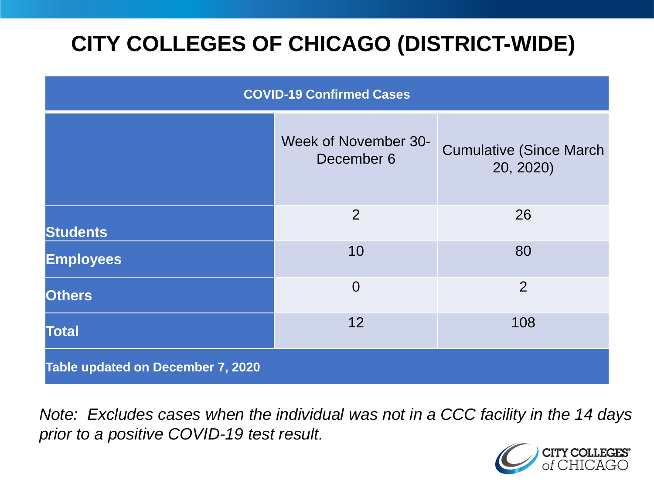# **CITY COLLEGES OF CHICAGO (DISTRICT-WIDE)**

| <b>COVID-19 Confirmed Cases</b>   |                                    |                                              |
|-----------------------------------|------------------------------------|----------------------------------------------|
|                                   | Week of November 30-<br>December 6 | <b>Cumulative (Since March)</b><br>20, 2020) |
| <b>Students</b>                   | 2                                  | 26                                           |
| <b>Employees</b>                  | 10                                 | 80                                           |
| <b>Others</b>                     | $\overline{0}$                     | $\overline{2}$                               |
| <b>Total</b>                      | 12                                 | 108                                          |
| Table updated on December 7, 2020 |                                    |                                              |

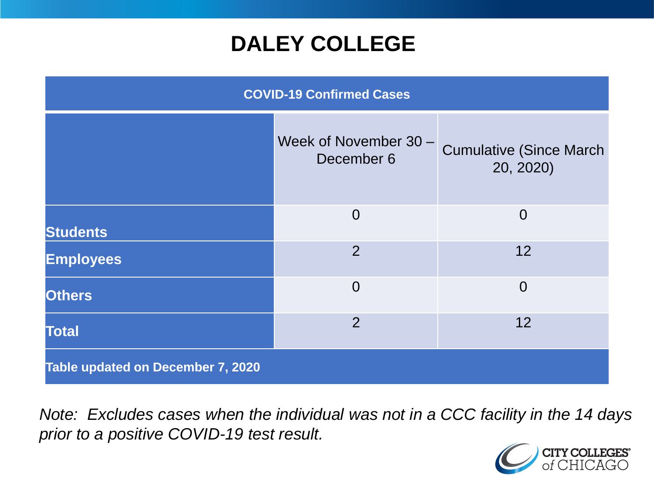## **DALEY COLLEGE**

| <b>COVID-19 Confirmed Cases</b>   |                                     |                                             |
|-----------------------------------|-------------------------------------|---------------------------------------------|
|                                   | Week of November 30 -<br>December 6 | <b>Cumulative (Since March</b><br>20, 2020) |
| <b>Students</b>                   | $\overline{0}$                      | $\overline{0}$                              |
| <b>Employees</b>                  | $\overline{2}$                      | 12                                          |
| <b>Others</b>                     | $\overline{0}$                      | $\overline{0}$                              |
| <b>Total</b>                      | $\overline{2}$                      | 12                                          |
| Table updated on December 7, 2020 |                                     |                                             |

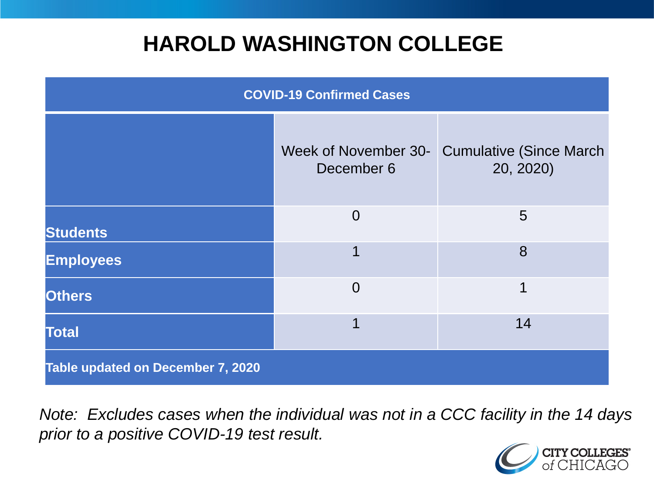## **HAROLD WASHINGTON COLLEGE**

| <b>COVID-19 Confirmed Cases</b>   |                                    |                                              |
|-----------------------------------|------------------------------------|----------------------------------------------|
|                                   | Week of November 30-<br>December 6 | <b>Cumulative (Since March)</b><br>20, 2020) |
| <b>Students</b>                   | $\Omega$                           | 5                                            |
| <b>Employees</b>                  | 1                                  | 8                                            |
| <b>Others</b>                     | $\overline{0}$                     | 1                                            |
| <b>Total</b>                      | 1                                  | 14                                           |
| Table updated on December 7, 2020 |                                    |                                              |

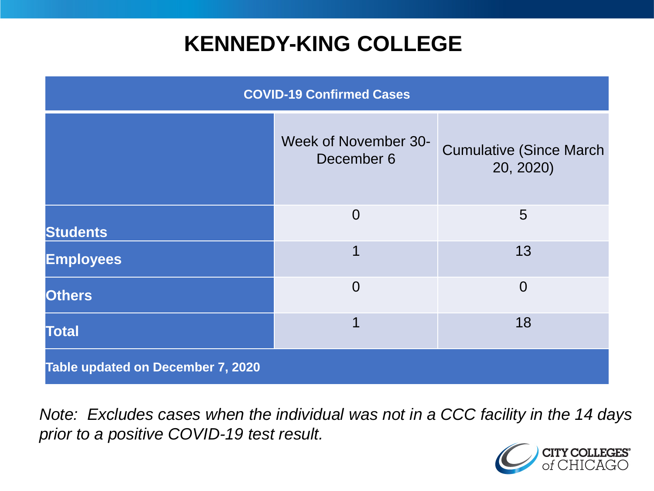## **KENNEDY-KING COLLEGE**

| <b>COVID-19 Confirmed Cases</b>   |                                    |                                              |
|-----------------------------------|------------------------------------|----------------------------------------------|
|                                   | Week of November 30-<br>December 6 | <b>Cumulative (Since March)</b><br>20, 2020) |
| <b>Students</b>                   | $\overline{0}$                     | 5                                            |
| <b>Employees</b>                  | 1                                  | 13                                           |
| <b>Others</b>                     | $\overline{0}$                     | $\overline{0}$                               |
| <b>Total</b>                      | 1                                  | 18                                           |
| Table updated on December 7, 2020 |                                    |                                              |

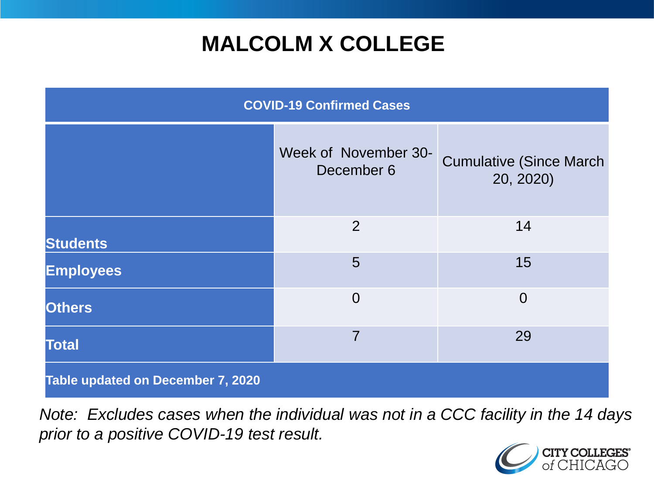# **MALCOLM X COLLEGE**

| <b>COVID-19 Confirmed Cases</b>   |                                    |                                              |
|-----------------------------------|------------------------------------|----------------------------------------------|
|                                   | Week of November 30-<br>December 6 | <b>Cumulative (Since March)</b><br>20, 2020) |
| <b>Students</b>                   | 2                                  | 14                                           |
| <b>Employees</b>                  | 5                                  | 15                                           |
| <b>Others</b>                     | $\overline{0}$                     | $\overline{0}$                               |
| <b>Total</b>                      | $\overline{7}$                     | 29                                           |
| Table updated on December 7, 2020 |                                    |                                              |

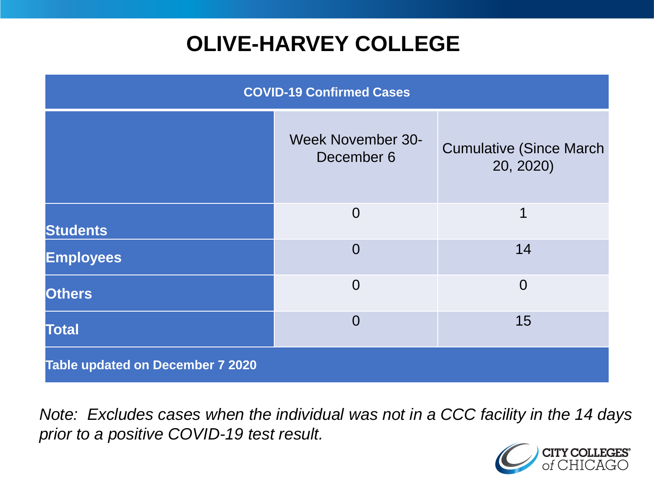# **OLIVE-HARVEY COLLEGE**

| <b>COVID-19 Confirmed Cases</b>         |                                        |                                              |
|-----------------------------------------|----------------------------------------|----------------------------------------------|
|                                         | <b>Week November 30-</b><br>December 6 | <b>Cumulative (Since March)</b><br>20, 2020) |
| <b>Students</b>                         | $\overline{0}$                         | 1                                            |
| <b>Employees</b>                        | $\Omega$                               | 14                                           |
| <b>Others</b>                           | $\overline{0}$                         | $\overline{0}$                               |
| <b>Total</b>                            | $\Omega$                               | 15                                           |
| <b>Table updated on December 7 2020</b> |                                        |                                              |

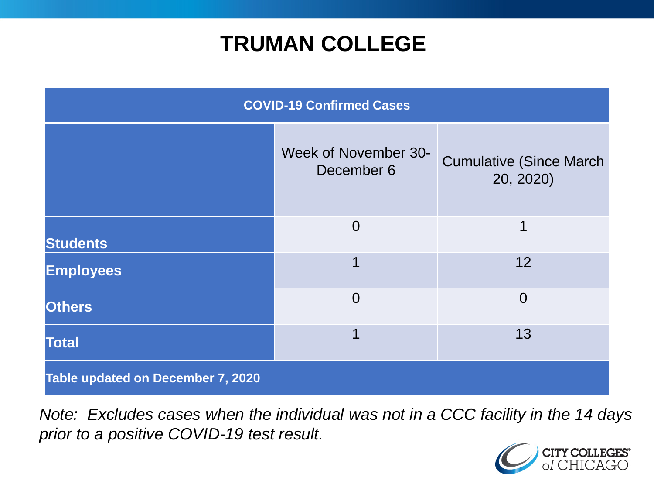## **TRUMAN COLLEGE**

| <b>COVID-19 Confirmed Cases</b>   |                                    |                                              |
|-----------------------------------|------------------------------------|----------------------------------------------|
|                                   | Week of November 30-<br>December 6 | <b>Cumulative (Since March)</b><br>20, 2020) |
| <b>Students</b>                   | $\overline{0}$                     | 1                                            |
| <b>Employees</b>                  | 1                                  | 12                                           |
| <b>Others</b>                     | $\overline{0}$                     | $\overline{0}$                               |
| <b>Total</b>                      | 1                                  | 13                                           |
| Table updated on December 7, 2020 |                                    |                                              |

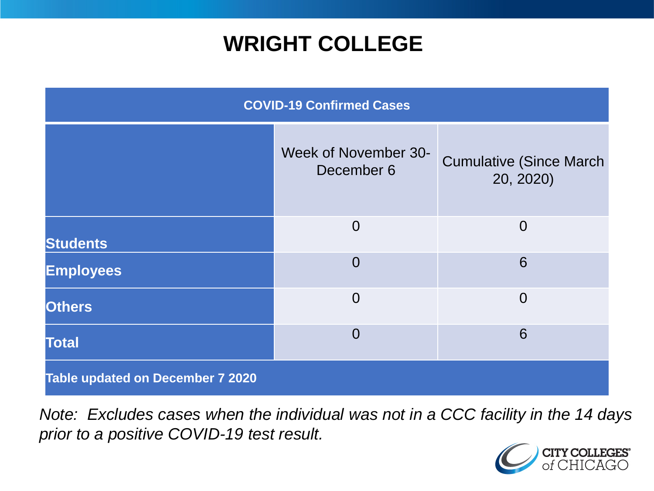## **WRIGHT COLLEGE**

| <b>COVID-19 Confirmed Cases</b>         |                                    |                                              |
|-----------------------------------------|------------------------------------|----------------------------------------------|
|                                         | Week of November 30-<br>December 6 | <b>Cumulative (Since March)</b><br>20, 2020) |
| <b>Students</b>                         | $\overline{0}$                     | $\overline{0}$                               |
| <b>Employees</b>                        | $\overline{0}$                     | 6                                            |
| <b>Others</b>                           | $\Omega$                           | $\Omega$                                     |
| <b>Total</b>                            | $\overline{0}$                     | 6                                            |
| <b>Table updated on December 7 2020</b> |                                    |                                              |